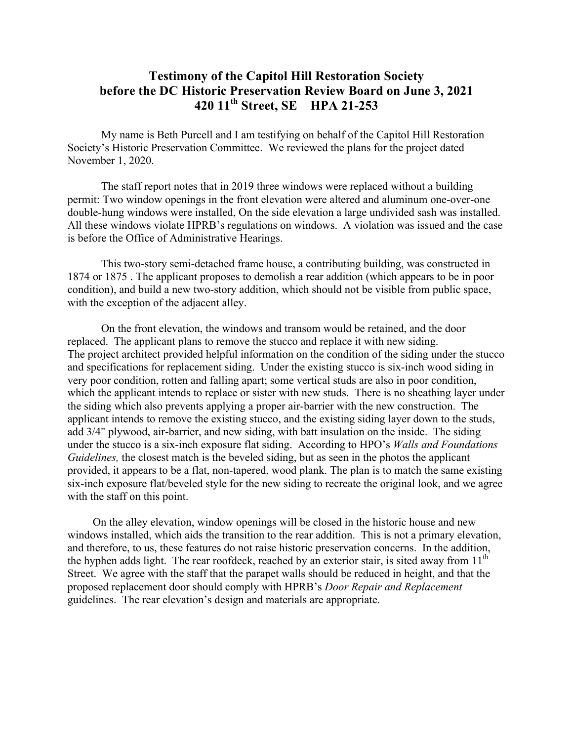## **Testimony of the Capitol Hill Restoration Society before the DC Historic Preservation Review Board on June 3, 2021 420 11th Street, SE HPA 21-253**

My name is Beth Purcell and I am testifying on behalf of the Capitol Hill Restoration Society's Historic Preservation Committee. We reviewed the plans for the project dated November 1, 2020.

The staff report notes that in 2019 three windows were replaced without a building permit: Two window openings in the front elevation were altered and aluminum one-over-one double-hung windows were installed, On the side elevation a large undivided sash was installed. All these windows violate HPRB's regulations on windows. A violation was issued and the case is before the Office of Administrative Hearings.

This two-story semi-detached frame house, a contributing building, was constructed in 1874 or 1875 . The applicant proposes to demolish a rear addition (which appears to be in poor condition), and build a new two-story addition, which should not be visible from public space, with the exception of the adjacent alley.

On the front elevation, the windows and transom would be retained, and the door replaced. The applicant plans to remove the stucco and replace it with new siding. The project architect provided helpful information on the condition of the siding under the stucco and specifications for replacement siding. Under the existing stucco is six-inch wood siding in very poor condition, rotten and falling apart; some vertical studs are also in poor condition, which the applicant intends to replace or sister with new studs. There is no sheathing layer under the siding which also prevents applying a proper air-barrier with the new construction. The applicant intends to remove the existing stucco, and the existing siding layer down to the studs, add 3/4" plywood, air-barrier, and new siding, with batt insulation on the inside. The siding under the stucco is a six-inch exposure flat siding. According to HPO's *Walls and Foundations Guidelines,* the closest match is the beveled siding, but as seen in the photos the applicant provided, it appears to be a flat, non-tapered, wood plank. The plan is to match the same existing six-inch exposure flat/beveled style for the new siding to recreate the original look, and we agree with the staff on this point.

On the alley elevation, window openings will be closed in the historic house and new windows installed, which aids the transition to the rear addition. This is not a primary elevation, and therefore, to us, these features do not raise historic preservation concerns. In the addition, the hyphen adds light. The rear roofdeck, reached by an exterior stair, is sited away from  $11<sup>th</sup>$ Street. We agree with the staff that the parapet walls should be reduced in height, and that the proposed replacement door should comply with HPRB's *Door Repair and Replacement* guidelines. The rear elevation's design and materials are appropriate.